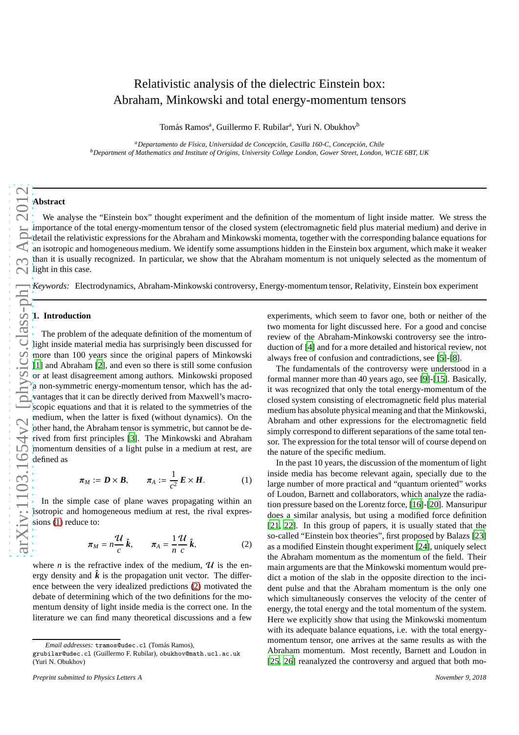# Relativistic analysis of the dielectric Einstein box: Abraham, Minkowski and total energy-momentum tensors

Tomás Ramos<sup>a</sup>, Guillermo F. Rubilar<sup>a</sup>, Yuri N. Obukhov<sup>b</sup>

<sup>a</sup>Departamento de Física, Universidad de Concepción, Casilla 160-C, Concepción, Chile *<sup>b</sup>Department of Mathematics and Institute of Origins, University College London, Gower Street, London, WC1E 6BT, UK*

## **Abstract**

We analyse the "Einstein box" thought experiment and the definition of the momentum of light inside matter. We stress the importance of the total energy-momentum tensor of the closed system (electromagnetic field plus material medium) and derive in detail the relativistic expressions for the Abraham and Minkowski momenta, together with the corresponding balance equations for an isotropic and homogeneous medium. We identify some assumptions hidden in the Einstein box argument, which make it weaker than it is usually recognized. In particular, we show that the Abraham momentum is not uniquely selected as the momentum of light in this case.

*Keywords:* Electrodynamics, Abraham-Minkowski controversy, Energy-momentum tensor, Relativity, Einstein box experiment

## **1. Introduction**

The problem of the adequate definition of the momentum of light inside material media has surprisingly been discussed for more than 100 years since the original papers of Minkowski [\[1\]](#page-7-0) and Abraham [\[2](#page-7-1)], and even so there is still some confusion or at least disagreement among authors. Minkowski proposed a non-symmetric energy-momentum tensor, which has the advantages that it can be directly derived from Maxwell's macroscopic equations and that it is related to the symmetries of the medium, when the latter is fixed (without dynamics). On the other hand, the Abraham tensor is symmetric, but cannot be derived from first principles [\[3](#page-7-2)]. The Minkowski and Abraham momentum densities of a light pulse in a medium at rest, are defined as

$$
\pi_M := D \times B, \qquad \pi_A := \frac{1}{c^2} E \times H. \tag{1}
$$

In the simple case of plane waves propagating within an isotropic and homogeneous medium at rest, the rival expressions [\(1\)](#page-0-0) reduce to:

$$
\pi_M = n \frac{\mathcal{U}}{c} \hat{k}, \qquad \pi_A = \frac{1}{n} \frac{\mathcal{U}}{c} \hat{k}, \tag{2}
$$

where *n* is the refractive index of the medium,  $\mathcal{U}$  is the energy density and  $\hat{k}$  is the propagation unit vector. The difference between the very idealized predictions [\(2\)](#page-0-1) motivated the debate of determining which of the two definitions for the momentum density of light inside media is the correct one. In the literature we can find many theoretical discussions and a few

experiments, which seem to favor one, both or neither of the two momenta for light discussed here. For a good and concise review of the Abraham-Minkowski controversy see the introduction of [\[4\]](#page-7-3) and for a more detailed and historical review, not always free of confusion and contradictions, see [\[5\]](#page-7-4)-[\[8\]](#page-7-5).

The fundamentals of the controversy were understood in a formal manner more than 40 years ago, see [\[9\]](#page-7-6)-[\[15\]](#page-7-7). Basically, it was recognized that only the total energy-momentum of the closed system consisting of electromagnetic field plus material medium has absolute physical meaning and that the Minkowski, Abraham and other expressions for the electromagnetic field simply correspond to different separations of the same total tensor. The expression for the total tensor will of course depend on the nature of the specific medium.

<span id="page-0-1"></span><span id="page-0-0"></span>In the past 10 years, the discussion of the momentum of light inside media has become relevant again, specially due to the large number of more practical and "quantum oriented" works of Loudon, Barnett and collaborators, which analyze the radiation pressure based on the Lorentz force, [\[16\]](#page-7-8)-[\[20\]](#page-7-9). Mansuripur does a similar analysis, but using a modified force definition [\[21,](#page-7-10) [22\]](#page-7-11). In this group of papers, it is usually stated that the so-called "Einstein box theories", first proposed by Balazs [\[23\]](#page-7-12) as a modified Einstein thought experiment [\[24\]](#page-7-13), uniquely select the Abraham momentum as the momentum of the field. Their main arguments are that the Minkowski momentum would predict a motion of the slab in the opposite direction to the incident pulse and that the Abraham momentum is the only one which simultaneously conserves the velocity of the center of energy, the total energy and the total momentum of the system. Here we explicitly show that using the Minkowski momentum with its adequate balance equations, i.e. with the total energymomentum tensor, one arrives at the same results as with the Abraham momentum. Most recently, Barnett and Loudon in [\[25,](#page-7-14) [26\]](#page-7-15) reanalyzed the controversy and argued that both mo-

*Email addresses:* tramos@udec.cl (Tomás Ramos),

grubilar@udec.cl (Guillermo F. Rubilar), obukhov@math.ucl.ac.uk (Yuri N. Obukhov)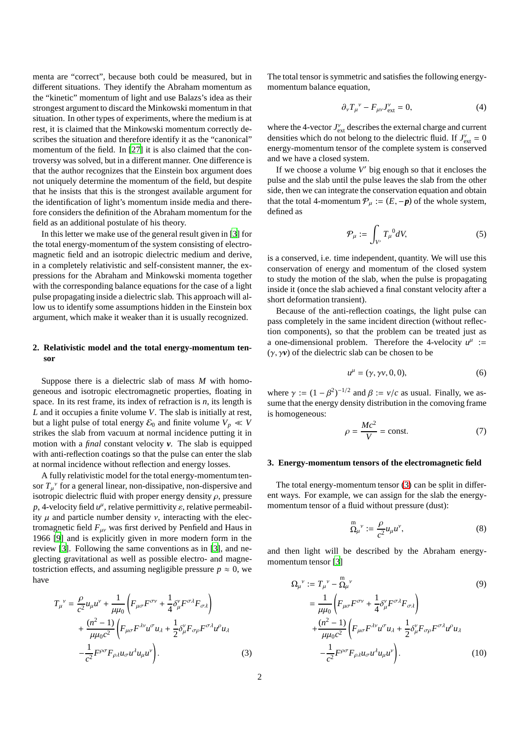menta are "correct", because both could be measured, but in different situations. They identify the Abraham momentum as the "kinetic" momentum of light and use Balazs's idea as their strongest argument to discard the Minkowski momentum in that situation. In other types of experiments, where the medium is at rest, it is claimed that the Minkowski momentum correctly describes the situation and therefore identify it as the "canonical" momentum of the field. In [\[27\]](#page-7-16) it is also claimed that the controversy was solved, but in a different manner. One difference is that the author recognizes that the Einstein box argument does not uniquely determine the momentum of the field, but despite that he insists that this is the strongest available argument for the identification of light's momentum inside media and therefore considers the definition of the Abraham momentum for the field as an additional postulate of his theory.

In this letter we make use of the general result given in [\[3\]](#page-7-2) for the total energy-momentum of the system consisting of electromagnetic field and an isotropic dielectric medium and derive, in a completely relativistic and self-consistent manner, the expressions for the Abraham and Minkowski momenta together with the corresponding balance equations for the case of a light pulse propagating inside a dielectric slab. This approach will allow us to identify some assumptions hidden in the Einstein box argument, which make it weaker than it is usually recognized.

# **2. Relativistic model and the total energy-momentum tensor**

Suppose there is a dielectric slab of mass *M* with homogeneous and isotropic electromagnetic properties, floating in space. In its rest frame, its index of refraction is *n*, its length is *L* and it occupies a finite volume *V*. The slab is initially at rest, but a light pulse of total energy  $\mathcal{E}_0$  and finite volume  $V_p \ll V$ strikes the slab from vacuum at normal incidence putting it in motion with a *final* constant velocity *v*. The slab is equipped with anti-reflection coatings so that the pulse can enter the slab at normal incidence without reflection and energy losses.

A fully relativistic model for the total energy-momentum tensor  $T_{\mu}^{\nu}$  for a general linear, non-dissipative, non-dispersive and isotropic dielectric fluid with proper energy density  $\rho$ , pressure  $p$ , 4-velocity field  $u^{\mu}$ , relative permittivity  $\varepsilon$ , relative permeability  $\mu$  and particle number density  $\nu$ , interacting with the electromagnetic field  $F_{\mu\nu}$  was first derived by Penfield and Haus in 1966 [\[9\]](#page-7-6) and is explicitly given in more modern form in the review [\[3\]](#page-7-2). Following the same conventions as in [\[3\]](#page-7-2), and neglecting gravitational as well as possible electro- and magnetostriction effects, and assuming negligible pressure  $p \approx 0$ , we have

$$
T_{\mu}^{\ \nu} = \frac{\rho}{c^2} u_{\mu} u^{\nu} + \frac{1}{\mu \mu_0} \left( F_{\mu \sigma} F^{\sigma \nu} + \frac{1}{4} \delta^{\nu}_{\mu} F^{\sigma \lambda} F_{\sigma \lambda} \right) + \frac{(n^2 - 1)}{\mu \mu_0 c^2} \left( F_{\mu \sigma} F^{\lambda \nu} u^{\sigma} u_{\lambda} + \frac{1}{2} \delta^{\nu}_{\mu} F_{\sigma \rho} F^{\sigma \lambda} u^{\rho} u_{\lambda} - \frac{1}{c^2} F^{\rho \sigma} F_{\rho \lambda} u_{\sigma} u^{\lambda} u_{\mu} u^{\nu} \right). \tag{3}
$$

The total tensor is symmetric and satisfies the following energymomentum balance equation,

$$
\partial_{\nu} T_{\mu}^{\ \nu} - F_{\mu\nu} J_{\text{ext}}^{\nu} = 0, \tag{4}
$$

where the 4-vector  $J_{ext}^{\nu}$  describes the external charge and current densities which do not belong to the dielectric fluid. If  $J_{ext}^{\nu} = 0$ energy-momentum tensor of the complete system is conserved and we have a closed system.

If we choose a volume V' big enough so that it encloses the pulse and the slab until the pulse leaves the slab from the other side, then we can integrate the conservation equation and obtain that the total 4-momentum  $\mathcal{P}_{\mu} := (E, -\mathbf{p})$  of the whole system, defined as

<span id="page-1-1"></span>
$$
\mathcal{P}_{\mu} := \int_{V'} T_{\mu}^{0} dV, \tag{5}
$$

is a conserved, i.e. time independent, quantity. We will use this conservation of energy and momentum of the closed system to study the motion of the slab, when the pulse is propagating inside it (once the slab achieved a final constant velocity after a short deformation transient).

Because of the anti-reflection coatings, the light pulse can pass completely in the same incident direction (without reflection components), so that the problem can be treated just as a one-dimensional problem. Therefore the 4-velocity  $u^{\mu}$  := (γ, γ*v*) of the dielectric slab can be chosen to be

<span id="page-1-2"></span>
$$
u^{\mu} = (\gamma, \gamma v, 0, 0), \tag{6}
$$

where  $\gamma := (1 - \beta^2)^{-1/2}$  and  $\beta := v/c$  as usual. Finally, we assume that the energy density distribution in the comoving frame is homogeneous:

<span id="page-1-3"></span>
$$
\rho = \frac{Mc^2}{V} = \text{const.} \tag{7}
$$

## <span id="page-1-6"></span>**3. Energy-momentum tensors of the electromagnetic field**

The total energy-momentum tensor [\(3\)](#page-1-0) can be split in different ways. For example, we can assign for the slab the energymomentum tensor of a fluid without pressure (dust):

<span id="page-1-5"></span><span id="page-1-4"></span>
$$
\stackrel{\mathbf{m}}{\Omega}_{\mu}^{\mathbf{v}} := \frac{\rho}{c^2} u_{\mu} u^{\nu},\tag{8}
$$

and then light will be described by the Abraham energymomentum tensor [\[3\]](#page-7-2)

<span id="page-1-0"></span>
$$
\Omega_{\mu}^{\ \nu} := T_{\mu}^{\ \nu} - \Omega_{\mu}^{\nu} \tag{9}
$$
\n
$$
= \frac{1}{\mu\mu_{0}} \left( F_{\mu\sigma} F^{\sigma\nu} + \frac{1}{4} \delta_{\mu}^{\nu} F^{\sigma\lambda} F_{\sigma\lambda} \right)
$$
\n
$$
+ \frac{(n^{2} - 1)}{\mu\mu_{0}c^{2}} \left( F_{\mu\sigma} F^{\lambda\nu} u^{\sigma} u_{\lambda} + \frac{1}{2} \delta_{\mu}^{\nu} F_{\sigma\rho} F^{\sigma\lambda} u^{\rho} u_{\lambda} \right)
$$
\n
$$
- \frac{1}{c^{2}} F^{\rho\sigma} F_{\rho\lambda} u_{\sigma} u^{\lambda} u_{\mu} u^{\nu} \right). \tag{10}
$$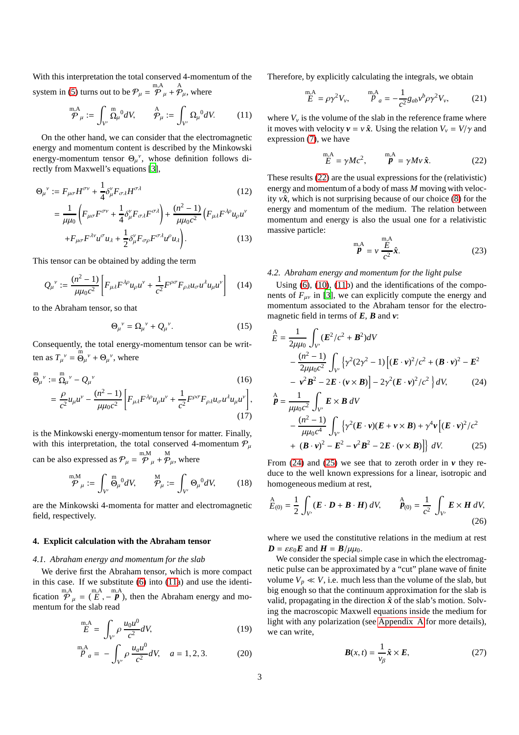With this interpretation the total conserved 4-momentum of the system in [\(5\)](#page-1-1) turns out to be  $\mathcal{P}_{\mu} = \mathcal{P}_{\mu}^{\text{m},A} + \mathcal{P}_{\mu}^{\text{A}}$ , where

$$
\overset{m,A}{\mathcal{P}}_{\mu} := \int_{V'} \overset{m}{\Omega}_{\mu}^{0} dV, \qquad \overset{A}{\mathcal{P}}_{\mu} := \int_{V'} \Omega_{\mu}^{0} dV. \tag{11}
$$

On the other hand, we can consider that the electromagnetic energy and momentum content is described by the Minkowski energy-momentum tensor  $\Theta_{\mu}^{\nu}$ , whose definition follows directly from Maxwell's equations [\[3](#page-7-2)],

$$
\Theta_{\mu}^{\ \nu} := F_{\mu\sigma} H^{\sigma\nu} + \frac{1}{4} \delta_{\mu}^{\nu} F_{\sigma\lambda} H^{\sigma\lambda}
$$
(12)  

$$
= \frac{1}{\mu\mu_0} \left( F_{\mu\sigma} F^{\sigma\nu} + \frac{1}{4} \delta_{\mu}^{\nu} F_{\sigma\lambda} F^{\sigma\lambda} \right) + \frac{(n^2 - 1)}{\mu\mu_0 c^2} \left( F_{\mu\lambda} F^{\lambda\rho} u_{\rho} u^{\nu} + F_{\mu\sigma} F^{\lambda\nu} u^{\sigma} u_{\lambda} + \frac{1}{2} \delta_{\mu}^{\nu} F_{\sigma\rho} F^{\sigma\lambda} u^{\rho} u_{\lambda} \right).
$$
(13)

This tensor can be obtained by adding the term

$$
Q_{\mu}{}^{\nu} := \frac{(n^2 - 1)}{\mu \mu_0 c^2} \left[ F_{\mu\lambda} F^{\lambda \rho} u_{\rho} u^{\nu} + \frac{1}{c^2} F^{\rho \sigma} F_{\rho \lambda} u_{\sigma} u^{\lambda} u_{\mu} u^{\nu} \right] \tag{14}
$$

to the Abraham tensor, so that

<span id="page-2-7"></span>
$$
\Theta_{\mu}{}^{\nu} = \Omega_{\mu}{}^{\nu} + Q_{\mu}{}^{\nu}.
$$
 (15)

Consequently, the total energy-momentum tensor can be written as  $T_{\mu}^{\nu} = \Theta_{\mu}^{\nu} + \Theta_{\mu}^{\nu}$ , where

$$
\mathbf{w}_{\mu}^{\mathbf{w}} := \mathbf{\Omega}_{\mu}^{\mathbf{w}} - Q_{\mu}^{\mathbf{w}} \tag{16}
$$
\n
$$
= \frac{\rho}{c^2} u_{\mu} u^{\nu} - \frac{(n^2 - 1)}{\mu \mu_0 c^2} \left[ F_{\mu\lambda} F^{\lambda \rho} u_{\rho} u^{\nu} + \frac{1}{c^2} F^{\rho \sigma} F_{\rho \lambda} u_{\sigma} u^{\lambda} u_{\mu} u^{\nu} \right],
$$
\n
$$
(17)
$$

is the Minkowski energy-momentum tensor for matter. Finally, with this interpretation, the total conserved 4-momentum  $P_{\mu}$ can be also expressed as  $\mathcal{P}_{\mu} = \bigoplus_{\mu=1}^{\text{m,M}} \mathcal{P}_{\mu}$ , where

$$
\overset{m,M}{\mathcal{P}}_{\mu} := \int_{V'} \overset{m}{\Theta_{\mu}}^0 dV, \qquad \overset{M}{\mathcal{P}_{\mu}} := \int_{V'} \Theta_{\mu}^0 dV, \tag{18}
$$

are the Minkowski 4-momenta for matter and electromagnetic field, respectively.

## **4. Explicit calculation with the Abraham tensor**

#### *4.1. Abraham energy and momentum for the slab*

We derive first the Abraham tensor, which is more compact in this case. If we substitute [\(6\)](#page-1-2) into [\(11a](#page-2-0)) and use the identification  $\overline{\mathcal{P}}_{\mu} = (\overline{E}, -\overline{P})$ , then the Abraham energy and momentum for the slab read

$$
E^{\text{m,A}} = \int_{V'} \rho \frac{u_0 u^0}{c^2} dV,
$$
 (19)

$$
\stackrel{m,A}{p}_a = -\int_{V'} \rho \frac{u_a u^0}{c^2} dV, \quad a = 1, 2, 3. \tag{20}
$$

Therefore, by explicitly calculating the integrals, we obtain

$$
E^{\text{m,A}} = \rho \gamma^2 V_v, \qquad P_a^{\text{m,A}} = -\frac{1}{c^2} g_{ab} v^b \rho \gamma^2 V_v, \qquad (21)
$$

<span id="page-2-0"></span>where  $V_\nu$  is the volume of the slab in the reference frame where it moves with velocity  $v = v \hat{x}$ . Using the relation  $V_v = V/\gamma$  and expression [\(7\)](#page-1-3), we have

$$
E^{\text{m,A}} = \gamma Mc^2, \qquad \stackrel{\text{m,A}}{p} = \gamma M v \hat{x}.
$$
 (22)

These results [\(22\)](#page-2-1) are the usual expressions for the (relativistic) energy and momentum of a body of mass *M* moving with velocity  $v\hat{x}$ , which is not surprising because of our choice [\(8\)](#page-1-4) for the energy and momentum of the medium. The relation between momentum and energy is also the usual one for a relativistic massive particle:

<span id="page-2-5"></span><span id="page-2-2"></span><span id="page-2-1"></span>
$$
\stackrel{\mathbf{m},\mathbf{A}}{P} = v \frac{\stackrel{\mathbf{m},\mathbf{A}}{E}}{c^2} \hat{\mathbf{x}}.
$$
 (23)

# *4.2. Abraham energy and momentum for the light pulse*

<span id="page-2-6"></span>Using [\(6\)](#page-1-2), [\(10\)](#page-1-5), [\(11b](#page-2-0)) and the identifications of the components of  $F_{\mu\nu}$  in [\[3\]](#page-7-2), we can explicitly compute the energy and momentum associated to the Abraham tensor for the electromagnetic field in terms of *E*, *B* and *v*:

$$
\hat{E} = \frac{1}{2\mu\mu_0} \int_{V'} (\vec{E}^2/c^2 + \vec{B}^2) dV \n- \frac{(n^2 - 1)}{2\mu\mu_0 c^2} \int_{V'} {\left[ \gamma^2 (2\gamma^2 - 1) \left[ (\vec{E} \cdot \vec{v})^2 / c^2 + (\vec{B} \cdot \vec{v})^2 - \vec{E}^2 \right] \right.} \n- \vec{v}^2 \vec{B}^2 - 2\vec{E} \cdot (\vec{v} \times \vec{B}) \Big] - 2\gamma^2 (\vec{E} \cdot \vec{v})^2 / c^2 {\Big\} dV, \tag{24}
$$
\n
$$
\hat{P} = \frac{1}{\sqrt{2\mu_0 c^2}} \int_{V'} \vec{E} \times \vec{B} dV
$$

<span id="page-2-8"></span><span id="page-2-3"></span>
$$
P = \frac{1}{\mu\mu_0 c^2} \int_{V'} E \times B \, dV
$$
  
 
$$
- \frac{(n^2 - 1)}{\mu\mu_0 c^4} \int_{V'} \left\{ \gamma^2 (E \cdot v)(E + v \times B) + \gamma^4 v \left[ (E \cdot v)^2 / c^2 + (B \cdot v)^2 - E^2 - v^2 B^2 - 2E \cdot (v \times B) \right] \right\} dV.
$$
 (25)

From [\(24\)](#page-2-2) and [\(25\)](#page-2-3) we see that to zeroth order in *v* they reduce to the well known expressions for a linear, isotropic and homogeneous medium at rest,

$$
\stackrel{\text{A}}{E}_{(0)} = \frac{1}{2} \int_{V'} (\bm{E} \cdot \bm{D} + \bm{B} \cdot \bm{H}) \, dV, \qquad \stackrel{\text{A}}{P}_{(0)} = \frac{1}{c^2} \int_{V'} \bm{E} \times \bm{H} \, dV,
$$
\n(26)

where we used the constitutive relations in the medium at rest  $D = \varepsilon \varepsilon_0 E$  and  $H = B/\mu \mu_0$ .

We consider the special simple case in which the electromagnetic pulse can be approximated by a "cut" plane wave of finite volume  $V_p \ll V$ , i.e. much less than the volume of the slab, but big enough so that the continuum approximation for the slab is valid, propagating in the direction  $\hat{x}$  of the slab's motion. Solving the macroscopic Maxwell equations inside the medium for light with any polarization (see [Appendix A](#page-7-17) for more details), we can write,

<span id="page-2-4"></span>
$$
\boldsymbol{B}(x,t) = \frac{1}{v_{\beta}} \hat{\boldsymbol{x}} \times \boldsymbol{E},\tag{27}
$$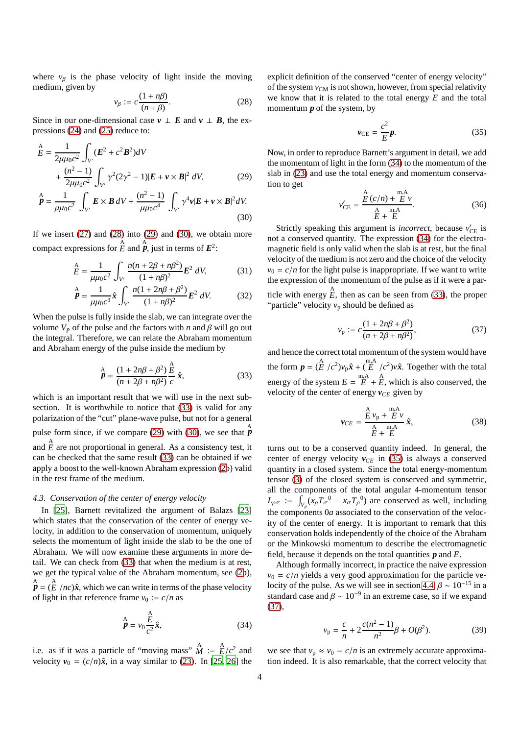where  $v_\beta$  is the phase velocity of light inside the moving medium, given by

<span id="page-3-0"></span>
$$
v_{\beta} := c \frac{(1 + n\beta)}{(n + \beta)}.
$$
 (28)

Since in our one-dimensional case  $v \perp E$  and  $v \perp B$ , the expressions [\(24\)](#page-2-2) and [\(25\)](#page-2-3) reduce to:

$$
\stackrel{\text{A}}{E} = \frac{1}{2\mu\mu_0 c^2} \int_{V'} (\bm{E}^2 + c^2 \bm{B}^2) dV \n+ \frac{(n^2 - 1)}{2\mu\mu_0 c^2} \int_{V'} \gamma^2 (2\gamma^2 - 1) |\bm{E} + \bm{v} \times \bm{B}|^2 dV,
$$
\n(29)

$$
\stackrel{\text{A}}{\mathbf{p}} = \frac{1}{\mu \mu_0 c^2} \int_{V'} E \times B \, dV + \frac{(n^2 - 1)}{\mu \mu_0 c^4} \int_{V'} \gamma^4 \mathbf{v} |E + \mathbf{v} \times B|^2 dV. \tag{30}
$$

If we insert  $(27)$  and  $(28)$  into  $(29)$  and  $(30)$ , we obtain more compact expressions for  $\stackrel{A}{E}$  and  $\stackrel{A}{P}$ , just in terms of  $E^2$ :

$$
\stackrel{\text{A}}{E} = \frac{1}{\mu\mu_0 c^2} \int_{V'} \frac{n(n + 2\beta + n\beta^2)}{(1 + n\beta)^2} E^2 \, dV,\tag{31}
$$

$$
\stackrel{\text{A}}{\mathbf{p}} = \frac{1}{\mu\mu_0 c^3} \hat{\mathbf{x}} \int_{V'} \frac{n(1 + 2n\beta + \beta^2)}{(1 + n\beta)^2} \mathbf{E}^2 \, dV. \tag{32}
$$

When the pulse is fully inside the slab, we can integrate over the volume  $V_p$  of the pulse and the factors with *n* and  $\beta$  will go out the integral. Therefore, we can relate the Abraham momentum and Abraham energy of the pulse inside the medium by

<span id="page-3-3"></span>
$$
\stackrel{\text{A}}{\mathbf{p}} = \frac{(1 + 2n\beta + \beta^2)}{(n + 2\beta + n\beta^2)} \frac{\stackrel{\text{A}}{\mathbf{c}}}{c} \hat{\mathbf{x}},\tag{33}
$$

which is an important result that we will use in the next subsection. It is worthwhile to notice that [\(33\)](#page-3-3) is valid for any polarization of the "cut" plane-wave pulse, but not for a general pulse form since, if we compare [\(29\)](#page-3-1) with [\(30\)](#page-3-2), we see that  $\stackrel{A}{P}$ and  $\stackrel{A}{E}$  are not proportional in general. As a consistency test, it can be checked that the same result [\(33\)](#page-3-3) can be obtained if we apply a boost to the well-known Abraham expression [\(2b](#page-0-1)) valid in the rest frame of the medium.

## *4.3. Conservation of the center of energy velocity*

In [\[25](#page-7-14)], Barnett revitalized the argument of Balazs [\[23](#page-7-12)] which states that the conservation of the center of energy velocity, in addition to the conservation of momentum, uniquely selects the momentum of light inside the slab to be the one of Abraham. We will now examine these arguments in more detail. We can check from [\(33\)](#page-3-3) that when the medium is at rest, we get the typical value of the Abraham momentum, see [\(2b](#page-0-1)),  $\hat{\boldsymbol{p}} = (\stackrel{\text{A}}{E} / nc) \hat{\boldsymbol{x}}$ , which we can write in terms of the phase velocity of light in that reference frame  $v_0 := c/n$  as

<span id="page-3-4"></span>
$$
\stackrel{\text{A}}{\mathbf{p}} = v_0 \frac{\stackrel{\text{A}}{E}}{c^2} \hat{\mathbf{x}},\tag{34}
$$

i.e. as if it was a particle of "moving mass"  $\stackrel{A}{M} := \stackrel{A}{E}/c^2$  and velocity  $v_0 = (c/n)\hat{x}$ , in a way similar to [\(23\)](#page-2-5). In [\[25,](#page-7-14) [26](#page-7-15)] the explicit definition of the conserved "center of energy velocity" of the system  $v_{CM}$  is not shown, however, from special relativity we know that it is related to the total energy *E* and the total momentum *p* of the system, by

<span id="page-3-5"></span>
$$
v_{\rm CE} = \frac{c^2}{E} \boldsymbol{p}.\tag{35}
$$

<span id="page-3-1"></span>Now, in order to reproduce Barnett's argument in detail, we add the momentum of light in the form [\(34\)](#page-3-4) to the momentum of the slab in [\(23\)](#page-2-5) and use the total energy and momentum conservation to get

$$
v'_{\rm CE} = \frac{\sum_{i=1}^{A} (c/n) + \sum_{i=1}^{m,A} v_i}{\sum_{i=1}^{A} + \sum_{i=1}^{m,A}}.
$$
 (36)

<span id="page-3-2"></span>Strictly speaking this argument is *incorrect*, because  $v_{\text{CE}}'$  is not a conserved quantity. The expression [\(34\)](#page-3-4) for the electromagnetic field is only valid when the slab is at rest, but the final velocity of the medium is not zero and the choice of the velocity  $v_0 = c/n$  for the light pulse is inappropriate. If we want to write the expression of the momentum of the pulse as if it were a particle with energy  $\stackrel{A}{E}$ , then as can be seen from [\(33\)](#page-3-3), the proper "particle" velocity  $v_p$  should be defined as

<span id="page-3-6"></span>
$$
v_{\rm p} := c \frac{(1 + 2n\beta + \beta^2)}{(n + 2\beta + n\beta^2)},
$$
\n(37)

and hence the correct total momentum of the system would have the form  $p = (\frac{A}{E}/c^2)v_p\hat{x} + (\frac{m}{E}/c^2)v\hat{x}$ . Together with the total energy of the system  $E = \frac{m}{E} + \frac{A}{E}$ , which is also conserved, the velocity of the center of energy  $v_{CE}$  given by

<span id="page-3-7"></span>
$$
\mathbf{v}_{CE} = \frac{\sum_{i=1}^{A} v_{p} + E v_{i}}{\sum_{i=1}^{A} F_{i}} \hat{\mathbf{x}},
$$
\n(38)

turns out to be a conserved quantity indeed. In general, the center of energy velocity  $v_{CE}$  in [\(35\)](#page-3-5) is always a conserved quantity in a closed system. Since the total energy-momentum tensor [\(3\)](#page-1-0) of the closed system is conserved and symmetric, all the components of the total angular 4-momentum tensor  $L_{\rho\sigma} := \int_{V_p} (x_\rho T_\sigma^0 - x_\sigma T_\rho^0)$  are conserved as well, including the components 0*a* associated to the conservation of the velocity of the center of energy. It is important to remark that this conservation holds independently of the choice of the Abraham or the Minkowski momentum to describe the electromagnetic field, because it depends on the total quantities *p* and *E*.

Although formally incorrect, in practice the naive expression  $v_0 = c/n$  yields a very good approximation for the particle ve-locity of the pulse. As we will see in section [4.4,](#page-4-0)  $\beta \sim 10^{-15}$  in a standard case and  $\beta \sim 10^{-9}$  in an extreme case, so if we expand [\(37\)](#page-3-6),

<span id="page-3-8"></span>
$$
v_{\rm p} = \frac{c}{n} + 2 \frac{c(n^2 - 1)}{n^2} \beta + O(\beta^2). \tag{39}
$$

we see that  $v_p \approx v_0 = c/n$  is an extremely accurate approximation indeed. It is also remarkable, that the correct velocity that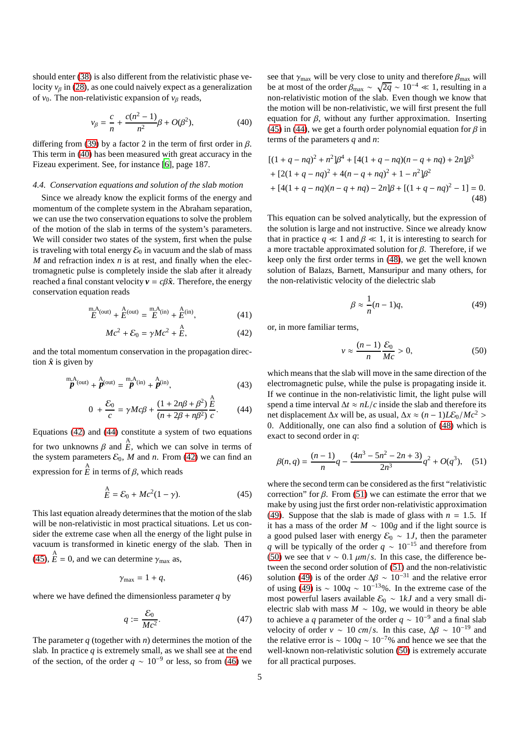should enter [\(38\)](#page-3-7) is also different from the relativistic phase velocity  $v_\beta$  in [\(28\)](#page-3-0), as one could naively expect as a generalization of  $v_0$ . The non-relativistic expansion of  $v_\beta$  reads,

$$
v_{\beta} = \frac{c}{n} + \frac{c(n^2 - 1)}{n^2} \beta + O(\beta^2),
$$
 (40)

differing from [\(39\)](#page-3-8) by a factor 2 in the term of first order in  $\beta$ . This term in [\(40\)](#page-4-1) has been measured with great accuracy in the Fizeau experiment. See, for instance [\[6\]](#page-7-18), page 187.

#### <span id="page-4-0"></span>*4.4. Conservation equations and solution of the slab motion*

Since we already know the explicit forms of the energy and momentum of the complete system in the Abraham separation, we can use the two conservation equations to solve the problem of the motion of the slab in terms of the system's parameters. We will consider two states of the system, first when the pulse is traveling with total energy  $\mathcal{E}_0$  in vacuum and the slab of mass  $M$  and refraction index  $n$  is at rest, and finally when the electromagnetic pulse is completely inside the slab after it already reached a final constant velocity  $v = c\beta \hat{x}$ . Therefore, the energy conservation equation reads

$$
E^{m,A(\text{out})} + E^{(\text{out})} = E^{m,A(\text{in})} + E^{(\text{in})},\tag{41}
$$

$$
Mc^2 + \mathcal{E}_0 = \gamma Mc^2 + \stackrel{A}{E},\tag{42}
$$

and the total momentum conservation in the propagation direction  $\hat{x}$  is given by

$$
\stackrel{m, A}{p}^{(out)} + \stackrel{A}{p}^{(out)} = \stackrel{m, A}{p}^{(in)} + \stackrel{A}{p}^{(in)},
$$
(43)

$$
0 + \frac{\mathcal{E}_0}{c} = \gamma Mc\beta + \frac{(1 + 2n\beta + \beta^2)}{(n + 2\beta + n\beta^2)} \frac{\stackrel{\text{A}}{E}}{c}.
$$
 (44)

Equations [\(42\)](#page-4-2) and [\(44\)](#page-4-3) constitute a system of two equations for two unknowns  $\beta$  and  $\stackrel{A}{E}$ , which we can solve in terms of the system parameters  $\mathcal{E}_0$ , *M* and *n*. From [\(42\)](#page-4-2) we can find an expression for  $\stackrel{A}{E}$  in terms of  $\beta$ , which reads

<span id="page-4-4"></span>
$$
\stackrel{A}{E} = \mathcal{E}_0 + Mc^2 (1 - \gamma).
$$
 (45)

This last equation already determines that the motion of the slab will be non-relativistic in most practical situations. Let us consider the extreme case when all the energy of the light pulse in vacuum is transformed in kinetic energy of the slab. Then in [\(45\)](#page-4-4),  $\mathop{E}\limits^{\text{A}} = 0$ , and we can determine  $\gamma_{\text{max}}$  as,

$$
\gamma_{\text{max}} = 1 + q,\tag{46}
$$

where we have defined the dimensionless parameter *q* by

<span id="page-4-10"></span>
$$
q := \frac{\mathcal{E}_0}{Mc^2}.\tag{47}
$$

The parameter *q* (together with *n*) determines the motion of the slab. In practice  $q$  is extremely small, as we shall see at the end of the section, of the order  $q \sim 10^{-9}$  or less, so from [\(46\)](#page-4-5) we

<span id="page-4-1"></span>see that  $\gamma_{\text{max}}$  will be very close to unity and therefore  $\beta_{\text{max}}$  will be at most of the order  $\beta_{\text{max}} \sim \sqrt{2q} \sim 10^{-4} \ll 1$ , resulting in a non-relativistic motion of the slab. Even though we know that the motion will be non-relativistic, we will first present the full equation for β, without any further approximation. Inserting [\(45\)](#page-4-4) in [\(44\)](#page-4-3), we get a fourth order polynomial equation for  $\beta$  in terms of the parameters *q* and *n*:

$$
[(1+q-nq)^2 + n^2]\beta^4 + [4(1+q-nq)(n-q+nq) + 2n]\beta^3
$$
  
+ 
$$
[2(1+q-nq)^2 + 4(n-q+nq)^2 + 1 - n^2]\beta^2
$$
  
+ 
$$
[4(1+q-nq)(n-q+nq) - 2n]\beta + [(1+q-nq)^2 - 1] = 0.
$$
  
(48)

This equation can be solved analytically, but the expression of the solution is large and not instructive. Since we already know that in practice  $q \ll 1$  and  $\beta \ll 1$ , it is interesting to search for a more tractable approximated solution for β. Therefore, if we keep only the first order terms in [\(48\)](#page-4-6), we get the well known solution of Balazs, Barnett, Mansuripur and many others, for the non-relativistic velocity of the dielectric slab

<span id="page-4-8"></span><span id="page-4-6"></span>
$$
\beta \approx \frac{1}{n}(n-1)q,\tag{49}
$$

<span id="page-4-2"></span>or, in more familiar terms,

<span id="page-4-9"></span><span id="page-4-7"></span>
$$
\nu \approx \frac{(n-1)}{n} \frac{\mathcal{E}_0}{Mc} > 0,\tag{50}
$$

<span id="page-4-3"></span>which means that the slab will move in the same direction of the electromagnetic pulse, while the pulse is propagating inside it. If we continue in the non-relativistic limit, the light pulse will spend a time interval  $\Delta t \approx nL/c$  inside the slab and therefore its net displacement Δ*x* will be, as usual, Δ*x* ≈  $(n - 1)L\mathcal{E}_0/Mc^2$  > 0. Additionally, one can also find a solution of [\(48\)](#page-4-6) which is exact to second order in *q*:

$$
\beta(n,q) = \frac{(n-1)}{n}q - \frac{(4n^3 - 5n^2 - 2n + 3)}{2n^3}q^2 + O(q^3),
$$
 (51)

<span id="page-4-5"></span>where the second term can be considered as the first "relativistic correction" for  $\beta$ . From [\(51\)](#page-4-7) we can estimate the error that we make by using just the first order non-relativistic approximation [\(49\)](#page-4-8). Suppose that the slab is made of glass with  $n = 1.5$ . If it has a mass of the order  $M \sim 100g$  and if the light source is a good pulsed laser with energy  $\mathcal{E}_0 \sim 1J$ , then the parameter *q* will be typically of the order  $q \sim 10^{-15}$  and therefore from [\(50\)](#page-4-9) we see that  $v \sim 0.1 \mu m/s$ . In this case, the difference between the second order solution of [\(51\)](#page-4-7) and the non-relativistic solution [\(49\)](#page-4-8) is of the order  $\Delta \beta \sim 10^{-31}$  and the relative error of using [\(49\)](#page-4-8) is ~ 100*q* ~ 10<sup>-13</sup>%. In the extreme case of the most powerful lasers available  $\mathcal{E}_0 \sim 1kJ$  and a very small dielectric slab with mass  $M \sim 10g$ , we would in theory be able to achieve a *q* parameter of the order  $q \sim 10^{-9}$  and a final slab velocity of order *v* ∼ 10 *cm/s*. In this case,  $\Delta \beta \sim 10^{-19}$  and the relative error is  $\sim 100q \sim 10^{-7}$ % and hence we see that the well-known non-relativistic solution [\(50\)](#page-4-9) is extremely accurate for all practical purposes.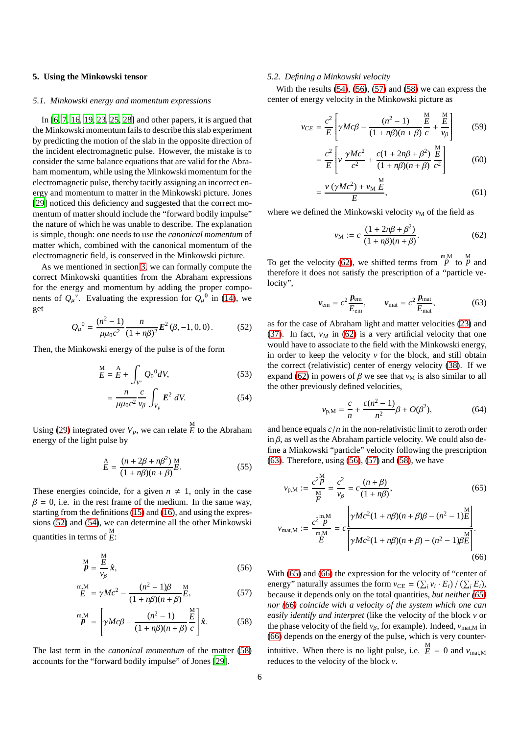## <span id="page-5-9"></span>**5. Using the Minkowski tensor**

## *5.1. Minkowski energy and momentum expressions*

In [\[6,](#page-7-18) [7,](#page-7-19) [16,](#page-7-8) [19](#page-7-20), [23](#page-7-12), [25](#page-7-14), [28\]](#page-7-21) and other papers, it is argued that the Minkowski momentum fails to describe this slab experiment by predicting the motion of the slab in the opposite direction of the incident electromagnetic pulse. However, the mistake is to consider the same balance equations that are valid for the Abraham momentum, while using the Minkowski momentum for the electromagnetic pulse, thereby tacitly assigning an incorrect energy and momentum to matter in the Minkowski picture. Jones [\[29\]](#page-7-22) noticed this deficiency and suggested that the correct momentum of matter should include the "forward bodily impulse" the nature of which he was unable to describe. The explanation is simple, though: one needs to use the *canonical momentum* of matter which, combined with the canonical momentum of the electromagnetic field, is conserved in the Minkowski picture.

As we mentioned in section [3,](#page-1-6) we can formally compute the correct Minkowski quantities from the Abraham expressions for the energy and momentum by adding the proper components of  $Q_\mu^{\nu}$ . Evaluating the expression for  $Q_\mu^{\ 0}$  in [\(14\)](#page-2-6), we get

<span id="page-5-0"></span>
$$
Q_{\mu}^{0} = \frac{(n^{2} - 1)}{\mu \mu_{0} c^{2}} \frac{n}{(1 + n\beta)^{2}} E^{2} (\beta, -1, 0, 0).
$$
 (52)

Then, the Minkowski energy of the pulse is of the form

$$
E = E + \int_{V'} Q_0^0 dV,
$$
 (53)

$$
=\frac{n}{\mu\mu_0c^2}\frac{c}{v_\beta}\int_{V_p}E^2\,dV.\tag{54}
$$

Using [\(29\)](#page-3-1) integrated over  $V_p$ , we can relate  $\overline{E}$  to the Abraham energy of the light pulse by

$$
\stackrel{\text{A}}{E} = \frac{(n+2\beta+n\beta^2)}{(1+n\beta)(n+\beta)} \stackrel{\text{M}}{E}.
$$
\n(55)

These energies coincide, for a given  $n \neq 1$ , only in the case  $\beta = 0$ , i.e. in the rest frame of the medium. In the same way, starting from the definitions [\(15\)](#page-2-7) and [\(16\)](#page-2-8), and using the expressions [\(52\)](#page-5-0) and [\(54\)](#page-5-1), we can determine all the other Minkowski quantities in terms of M *E*:

$$
\stackrel{\text{M}}{\mathbf{p}} = \frac{\stackrel{\text{M}}{\mathbf{p}}}{\nu_{\beta}} \hat{\mathbf{x}},\tag{56}
$$

$$
{}_{E}^{\text{m,M}} = \gamma Mc^2 - \frac{(n^2 - 1)\beta}{(1 + n\beta)(n + \beta)}{}_{E}^{\text{M}},
$$
 (57)

$$
\stackrel{m,M}{P} = \left[ \gamma Mc\beta - \frac{(n^2 - 1)}{(1 + n\beta)(n + \beta)} \frac{E}{c} \right] \hat{x}.
$$
 (58)

The last term in the *canonical momentum* of the matter [\(58\)](#page-5-2) accounts for the "forward bodily impulse" of Jones [\[29](#page-7-22)].

## *5.2. Defining a Minkowski velocity*

With the results  $(54)$ ,  $(56)$ ,  $(57)$  and  $(58)$  we can express the center of energy velocity in the Minkowski picture as

$$
v_{CE} = \frac{c^2}{E} \left[ \gamma Mc\beta - \frac{(n^2 - 1)}{(1 + n\beta)(n + \beta)} \frac{K}{c} + \frac{K}{v_{\beta}} \right]
$$
(59)

$$
= \frac{c^2}{E} \left[ v \frac{\gamma Mc^2}{c^2} + \frac{c(1 + 2n\beta + \beta^2)}{(1 + n\beta)(n + \beta)} \frac{E}{c^2} \right]
$$
(60)

$$
=\frac{v\left(\gamma Mc^2\right)+v_M\frac{M}{E}}{E},\tag{61}
$$

where we defined the Minkowski velocity  $v_M$  of the field as

<span id="page-5-5"></span>
$$
v_{\rm M} := c \, \frac{(1 + 2n\beta + \beta^2)}{(1 + n\beta)(n + \beta)}.
$$
 (62)

To get the velocity [\(62\)](#page-5-5), we shifted terms from  $\overline{p}^{\text{m,M}}$  to  $\overline{p}$  and therefore it does not satisfy the prescription of a "particle velocity",

<span id="page-5-6"></span>
$$
\mathbf{v}_{\rm em} = c^2 \frac{\mathbf{p}_{\rm em}}{E_{\rm em}}, \qquad \mathbf{v}_{\rm mat} = c^2 \frac{\mathbf{p}_{\rm mat}}{E_{\rm mat}}, \tag{63}
$$

as for the case of Abraham light and matter velocities [\(23\)](#page-2-5) and [\(37\)](#page-3-6). In fact,  $v_M$  in [\(62\)](#page-5-5) is a very artificial velocity that one would have to associate to the field with the Minkowski energy, in order to keep the velocity  $\nu$  for the block, and still obtain the correct (relativistic) center of energy velocity [\(38\)](#page-3-7). If we expand [\(62\)](#page-5-5) in powers of  $\beta$  we see that  $v_M$  is also similar to all the other previously defined velocities,

<span id="page-5-7"></span>
$$
v_{p,M} = \frac{c}{n} + \frac{c(n^2 - 1)}{n^2} \beta + O(\beta^2),
$$
 (64)

<span id="page-5-1"></span>and hence equals *c*/*n* in the non-relativistic limit to zeroth order in  $\beta$ , as well as the Abraham particle velocity. We could also define a Minkowski "particle" velocity following the prescription  $(63)$ . Therefore, using  $(56)$ ,  $(57)$  and  $(58)$ , we have

$$
v_{p,M} := \frac{c^2 \frac{M}{p}}{E} = \frac{c^2}{v_\beta} = c \frac{(n+\beta)}{(1+n\beta)},
$$
(65)  

$$
v_{\text{mat},M} := \frac{c^2 \frac{m,M}{p}}{E} = c \frac{\left[ \gamma Mc^2 (1+n\beta)(n+\beta)\beta - (n^2 - 1)E \right]}{\left[ \gamma Mc^2 (1+n\beta)(n+\beta) - (n^2 - 1)\beta E \right]}.
$$
(66)

<span id="page-5-8"></span><span id="page-5-4"></span><span id="page-5-3"></span><span id="page-5-2"></span>With [\(65\)](#page-5-7) and [\(66\)](#page-5-8) the expression for the velocity of "center of energy" naturally assumes the form  $v_{CE} = (\sum_i v_i \cdot E_i) / (\sum_i E_i)$ , because it depends only on the total quantities, *but neither [\(65\)](#page-5-7) nor [\(66\)](#page-5-8) coincide with a velocity of the system which one can easily identify and interpret* (like the velocity of the block *v* or the phase velocity of the field  $v_{\beta}$ , for example). Indeed,  $v_{\text{mat,M}}$  in [\(66\)](#page-5-8) depends on the energy of the pulse, which is very counterintuitive. When there is no light pulse, i.e.  $\frac{M}{E} = 0$  and  $v_{\text{mat,M}}$ reduces to the velocity of the block *v*.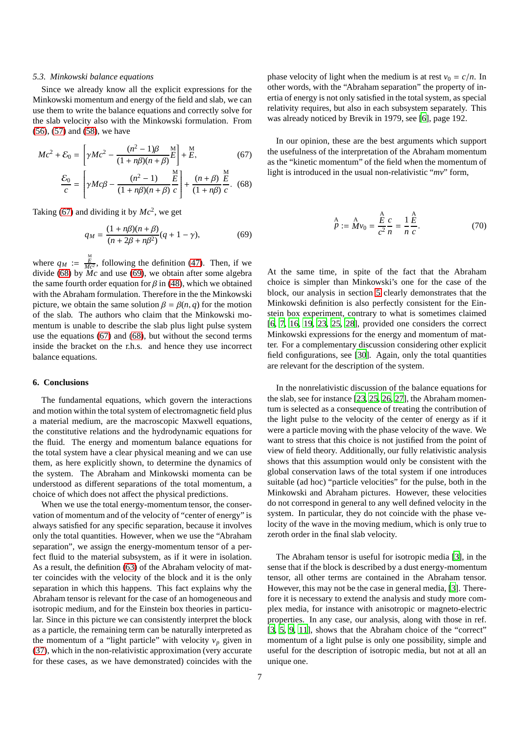### *5.3. Minkowski balance equations*

Since we already know all the explicit expressions for the Minkowski momentum and energy of the field and slab, we can use them to write the balance equations and correctly solve for the slab velocity also with the Minkowski formulation. From [\(56\)](#page-5-3), [\(57\)](#page-5-4) and [\(58\)](#page-5-2), we have

$$
Mc^{2} + \mathcal{E}_{0} = \left[ \gamma Mc^{2} - \frac{(n^{2} - 1)\beta}{(1 + n\beta)(n + \beta)} \frac{M}{E} \right] + \frac{M}{E},
$$
(67)

 $\mathcal{C}_0$ *c* = ſ  $\overline{\mathsf{l}}$  $\gamma Mc\beta - \frac{(n^2 - 1)}{(1 + n\beta)(n - 1)}$  $(1 + n\beta)(n + \beta)$ M *E c* 1  $\begin{array}{c} \begin{array}{c} \begin{array}{c} \begin{array}{c} \end{array} \end{array} \end{array} \end{array}$  $+\frac{(n+\beta)}{n+\beta}$  $(1 + n\beta)$ M *E*  $\frac{2}{c}$ . (68)

Taking  $(67)$  and dividing it by  $Mc^2$ , we get

$$
q_M = \frac{(1 + n\beta)(n + \beta)}{(n + 2\beta + n\beta^2)}(q + 1 - \gamma),
$$
 (69)

where  $q_M := \frac{M}{Mc^2}$ , following the definition [\(47\)](#page-4-10). Then, if we divide [\(68\)](#page-6-1) by *Mc* and use [\(69\)](#page-6-2), we obtain after some algebra the same fourth order equation for  $\beta$  in [\(48\)](#page-4-6), which we obtained with the Abraham formulation. Therefore in the the Minkowski picture, we obtain the same solution  $\beta = \beta(n, q)$  for the motion of the slab. The authors who claim that the Minkowski momentum is unable to describe the slab plus light pulse system use the equations [\(67\)](#page-6-0) and [\(68\)](#page-6-1), but without the second terms inside the bracket on the r.h.s. and hence they use incorrect balance equations.

## **6. Conclusions**

The fundamental equations, which govern the interactions and motion within the total system of electromagnetic field plus a material medium, are the macroscopic Maxwell equations, the constitutive relations and the hydrodynamic equations for the fluid. The energy and momentum balance equations for the total system have a clear physical meaning and we can use them, as here explicitly shown, to determine the dynamics of the system. The Abraham and Minkowski momenta can be understood as different separations of the total momentum, a choice of which does not affect the physical predictions.

When we use the total energy-momentum tensor, the conservation of momentum and of the velocity of "center of energy" is always satisfied for any specific separation, because it involves only the total quantities. However, when we use the "Abraham separation", we assign the energy-momentum tensor of a perfect fluid to the material subsystem, as if it were in isolation. As a result, the definition [\(63\)](#page-5-6) of the Abraham velocity of matter coincides with the velocity of the block and it is the only separation in which this happens. This fact explains why the Abraham tensor is relevant for the case of an homogeneous and isotropic medium, and for the Einstein box theories in particular. Since in this picture we can consistently interpret the block as a particle, the remaining term can be naturally interpreted as the momentum of a "light particle" with velocity  $v_p$  given in [\(37\)](#page-3-6), which in the non-relativistic approximation (very accurate for these cases, as we have demonstrated) coincides with the

phase velocity of light when the medium is at rest  $v_0 = c/n$ . In other words, with the "Abraham separation" the property of inertia of energy is not only satisfied in the total system, as special relativity requires, but also in each subsystem separately. This was already noticed by Brevik in 1979, see [\[6\]](#page-7-18), page 192.

<span id="page-6-1"></span><span id="page-6-0"></span>In our opinion, these are the best arguments which support the usefulness of the interpretation of the Abraham momentum as the "kinetic momentum" of the field when the momentum of light is introduced in the usual non-relativistic "*mv*" form,

$$
\stackrel{A}{p} := \stackrel{A}{M}v_0 = \frac{\stackrel{A}{E}}{c^2} \frac{c}{n} = \frac{1}{n} \frac{\stackrel{A}{E}}{c}.
$$
 (70)

<span id="page-6-2"></span>At the same time, in spite of the fact that the Abraham choice is simpler than Minkowski's one for the case of the block, our analysis in section [5](#page-5-9) clearly demonstrates that the Minkowski definition is also perfectly consistent for the Einstein box experiment, contrary to what is sometimes claimed [\[6,](#page-7-18) [7](#page-7-19), [16](#page-7-8), [19](#page-7-20), [23](#page-7-12), [25](#page-7-14), [28](#page-7-21)], provided one considers the correct Minkowski expressions for the energy and momentum of matter. For a complementary discussion considering other explicit field configurations, see [\[30\]](#page-7-23). Again, only the total quantities are relevant for the description of the system.

In the nonrelativistic discussion of the balance equations for the slab, see for instance [\[23,](#page-7-12) [25](#page-7-14), [26](#page-7-15), [27\]](#page-7-16), the Abraham momentum is selected as a consequence of treating the contribution of the light pulse to the velocity of the center of energy as if it were a particle moving with the phase velocity of the wave. We want to stress that this choice is not justified from the point of view of field theory. Additionally, our fully relativistic analysis shows that this assumption would only be consistent with the global conservation laws of the total system if one introduces suitable (ad hoc) "particle velocities" for the pulse, both in the Minkowski and Abraham pictures. However, these velocities do not correspond in general to any well defined velocity in the system. In particular, they do not coincide with the phase velocity of the wave in the moving medium, which is only true to zeroth order in the final slab velocity.

The Abraham tensor is useful for isotropic media [\[3](#page-7-2)], in the sense that if the block is described by a dust energy-momentum tensor, all other terms are contained in the Abraham tensor. However, this may not be the case in general media, [\[3](#page-7-2)]. Therefore it is necessary to extend the analysis and study more complex media, for instance with anisotropic or magneto-electric properties. In any case, our analysis, along with those in ref. [\[3,](#page-7-2) [5,](#page-7-4) [9,](#page-7-6) [11\]](#page-7-24), shows that the Abraham choice of the "correct" momentum of a light pulse is only one possibility, simple and useful for the description of isotropic media, but not at all an unique one.